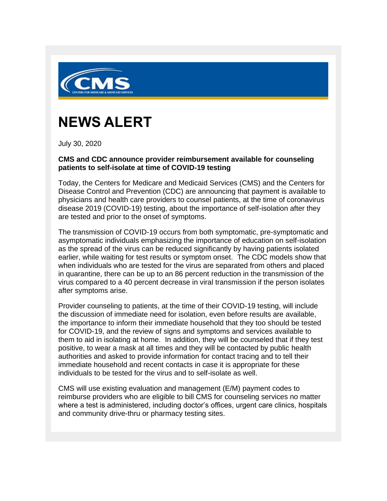

## **NEWS ALERT**

July 30, 2020

## **CMS and CDC announce provider reimbursement available for counseling patients to self-isolate at time of COVID-19 testing**

Today, the Centers for Medicare and Medicaid Services (CMS) and the Centers for Disease Control and Prevention (CDC) are announcing that payment is available to physicians and health care providers to counsel patients, at the time of coronavirus disease 2019 (COVID-19) testing, about the importance of self-isolation after they are tested and prior to the onset of symptoms.

The transmission of COVID-19 occurs from both symptomatic, pre-symptomatic and asymptomatic individuals emphasizing the importance of education on self-isolation as the spread of the virus can be reduced significantly by having patients isolated earlier, while waiting for test results or symptom onset. The CDC models show that when individuals who are tested for the virus are separated from others and placed in quarantine, there can be up to an 86 percent reduction in the transmission of the virus compared to a 40 percent decrease in viral transmission if the person isolates after symptoms arise.

Provider counseling to patients, at the time of their COVID-19 testing, will include the discussion of immediate need for isolation, even before results are available, the importance to inform their immediate household that they too should be tested for COVID-19, and the review of signs and symptoms and services available to them to aid in isolating at home. In addition, they will be counseled that if they test positive, to wear a mask at all times and they will be contacted by public health authorities and asked to provide information for contact tracing and to tell their immediate household and recent contacts in case it is appropriate for these individuals to be tested for the virus and to self-isolate as well.

CMS will use existing evaluation and management (E/M) payment codes to reimburse providers who are eligible to bill CMS for counseling services no matter where a test is administered, including doctor's offices, urgent care clinics, hospitals and community drive-thru or pharmacy testing sites.